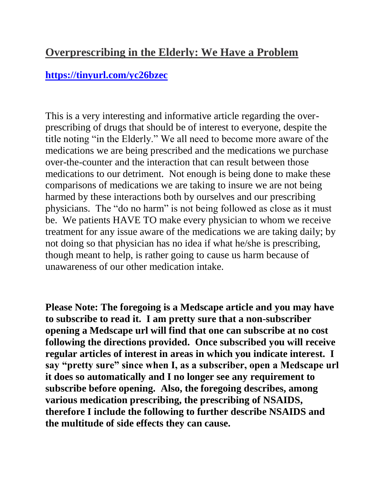## **Overprescribing in the Elderly: We Have a Problem**

## **<https://tinyurl.com/yc26bzec>**

This is a very interesting and informative article regarding the overprescribing of drugs that should be of interest to everyone, despite the title noting "in the Elderly." We all need to become more aware of the medications we are being prescribed and the medications we purchase over-the-counter and the interaction that can result between those medications to our detriment. Not enough is being done to make these comparisons of medications we are taking to insure we are not being harmed by these interactions both by ourselves and our prescribing physicians. The "do no harm" is not being followed as close as it must be. We patients HAVE TO make every physician to whom we receive treatment for any issue aware of the medications we are taking daily; by not doing so that physician has no idea if what he/she is prescribing, though meant to help, is rather going to cause us harm because of unawareness of our other medication intake.

**Please Note: The foregoing is a Medscape article and you may have to subscribe to read it. I am pretty sure that a non-subscriber opening a Medscape url will find that one can subscribe at no cost following the directions provided. Once subscribed you will receive regular articles of interest in areas in which you indicate interest. I say "pretty sure" since when I, as a subscriber, open a Medscape url it does so automatically and I no longer see any requirement to subscribe before opening. Also, the foregoing describes, among various medication prescribing, the prescribing of NSAIDS, therefore I include the following to further describe NSAIDS and the multitude of side effects they can cause.**